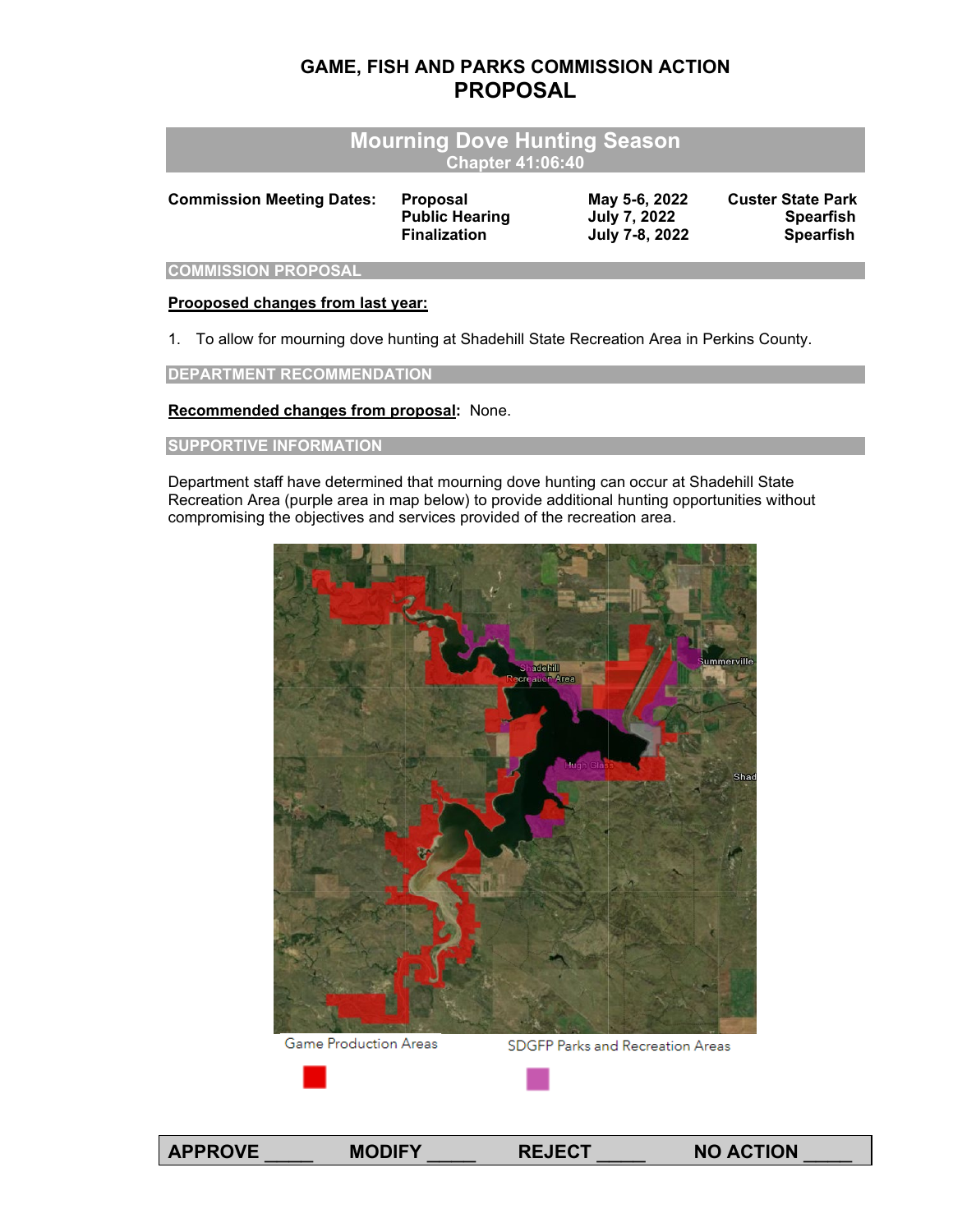## **GAME, FISH AND PARKS COMMISSION ACTION PROPOSAL**

| <b>Mourning Dove Hunting Season</b> |  |
|-------------------------------------|--|
| Chapter 41:06:40                    |  |

| <b>Commission Meeting Dates:</b> | <b>Proposal</b>       | May 5-6, 2022  | <b>Custer State Park</b> |
|----------------------------------|-----------------------|----------------|--------------------------|
|                                  | <b>Public Hearing</b> | July 7, 2022   | <b>Spearfish</b>         |
|                                  | <b>Finalization</b>   | July 7-8, 2022 | <b>Spearfish</b>         |
|                                  |                       |                |                          |

**COMMISSION PROPOSAL**

## **Prooposed changes from last year:**

1. To allow for mourning dove hunting at Shadehill State Recreation Area in Perkins County.

**DEPARTMENT RECOMMENDATION**

**Recommended changes from proposal:** None.

## **SUPPORTIVE INFORMATION**

Department staff have determined that mourning dove hunting can occur at Shadehill State Recreation Area (purple area in map below) to provide additional hunting opportunities without compromising the objectives and services provided of the recreation area.